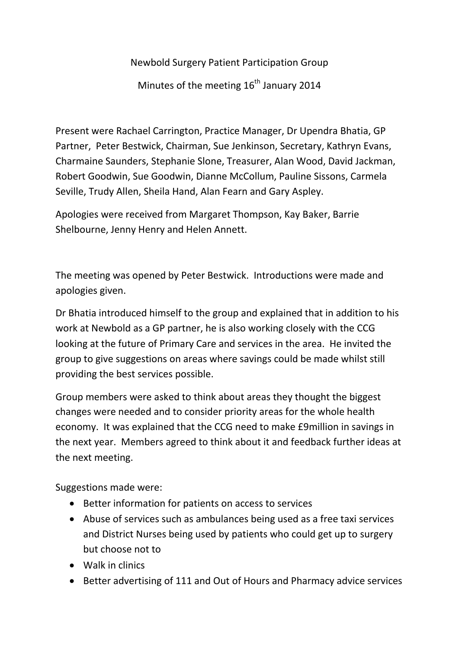Newbold Surgery Patient Participation Group

Minutes of the meeting  $16<sup>th</sup>$  January 2014

Present were Rachael Carrington, Practice Manager, Dr Upendra Bhatia, GP Partner, Peter Bestwick, Chairman, Sue Jenkinson, Secretary, Kathryn Evans, Charmaine Saunders, Stephanie Slone, Treasurer, Alan Wood, David Jackman, Robert Goodwin, Sue Goodwin, Dianne McCollum, Pauline Sissons, Carmela Seville, Trudy Allen, Sheila Hand, Alan Fearn and Gary Aspley.

Apologies were received from Margaret Thompson, Kay Baker, Barrie Shelbourne, Jenny Henry and Helen Annett.

The meeting was opened by Peter Bestwick. Introductions were made and apologies given.

Dr Bhatia introduced himself to the group and explained that in addition to his work at Newbold as a GP partner, he is also working closely with the CCG looking at the future of Primary Care and services in the area. He invited the group to give suggestions on areas where savings could be made whilst still providing the best services possible.

Group members were asked to think about areas they thought the biggest changes were needed and to consider priority areas for the whole health economy. It was explained that the CCG need to make £9million in savings in the next year. Members agreed to think about it and feedback further ideas at the next meeting.

Suggestions made were:

- Better information for patients on access to services
- Abuse of services such as ambulances being used as a free taxi services and District Nurses being used by patients who could get up to surgery but choose not to
- Walk in clinics
- Better advertising of 111 and Out of Hours and Pharmacy advice services